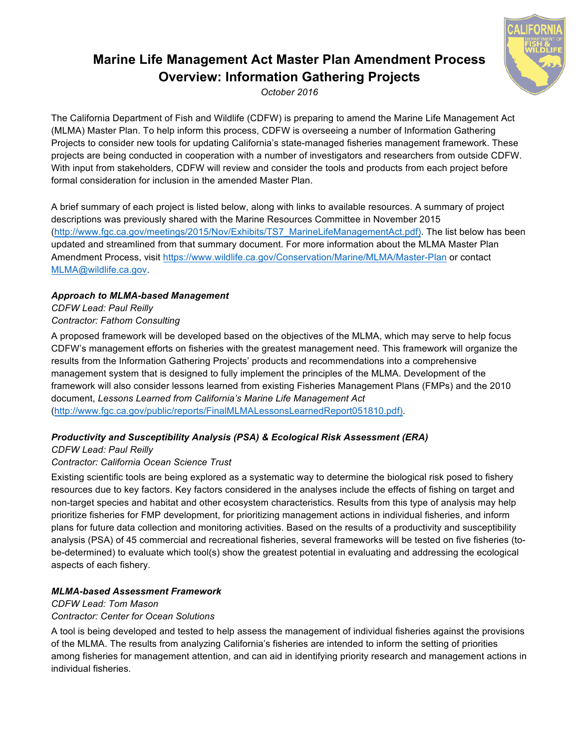# **Marine Life Management Act Master Plan Amendment Process Overview: Information Gathering Projects**

*October 2016*

The California Department of Fish and Wildlife (CDFW) is preparing to amend the Marine Life Management Act (MLMA) Master Plan. To help inform this process, CDFW is overseeing a number of Information Gathering Projects to consider new tools for updating California's state-managed fisheries management framework. These projects are being conducted in cooperation with a number of investigators and researchers from outside CDFW. With input from stakeholders, CDFW will review and consider the tools and products from each project before formal consideration for inclusion in the amended Master Plan.

A brief summary of each project is listed below, along with links to available resources. A summary of project descriptions was previously shared with the Marine Resources Committee in November 2015 (http://www.fgc.ca.gov/meetings/2015/Nov/Exhibits/TS7\_MarineLifeManagementAct.pdf). The list below has been updated and streamlined from that summary document. For more information about the MLMA Master Plan Amendment Process, visit https://www.wildlife.ca.gov/Conservation/Marine/MLMA/Master-Plan or contact MLMA@wildlife.ca.gov.

# *Approach to MLMA-based Management*

*CDFW Lead: Paul Reilly Contractor: Fathom Consulting*

A proposed framework will be developed based on the objectives of the MLMA, which may serve to help focus CDFW's management efforts on fisheries with the greatest management need. This framework will organize the results from the Information Gathering Projects' products and recommendations into a comprehensive management system that is designed to fully implement the principles of the MLMA. Development of the framework will also consider lessons learned from existing Fisheries Management Plans (FMPs) and the 2010 document, *Lessons Learned from California's Marine Life Management Act* (http://www.fgc.ca.gov/public/reports/FinalMLMALessonsLearnedReport051810.pdf).

# *Productivity and Susceptibility Analysis (PSA) & Ecological Risk Assessment (ERA)*

*CDFW Lead: Paul Reilly* 

## *Contractor: California Ocean Science Trust*

Existing scientific tools are being explored as a systematic way to determine the biological risk posed to fishery resources due to key factors. Key factors considered in the analyses include the effects of fishing on target and non-target species and habitat and other ecosystem characteristics. Results from this type of analysis may help prioritize fisheries for FMP development, for prioritizing management actions in individual fisheries, and inform plans for future data collection and monitoring activities. Based on the results of a productivity and susceptibility analysis (PSA) of 45 commercial and recreational fisheries, several frameworks will be tested on five fisheries (tobe-determined) to evaluate which tool(s) show the greatest potential in evaluating and addressing the ecological aspects of each fishery.

### *MLMA-based Assessment Framework*

*CDFW Lead: Tom Mason Contractor: Center for Ocean Solutions*

A tool is being developed and tested to help assess the management of individual fisheries against the provisions of the MLMA. The results from analyzing California's fisheries are intended to inform the setting of priorities among fisheries for management attention, and can aid in identifying priority research and management actions in individual fisheries.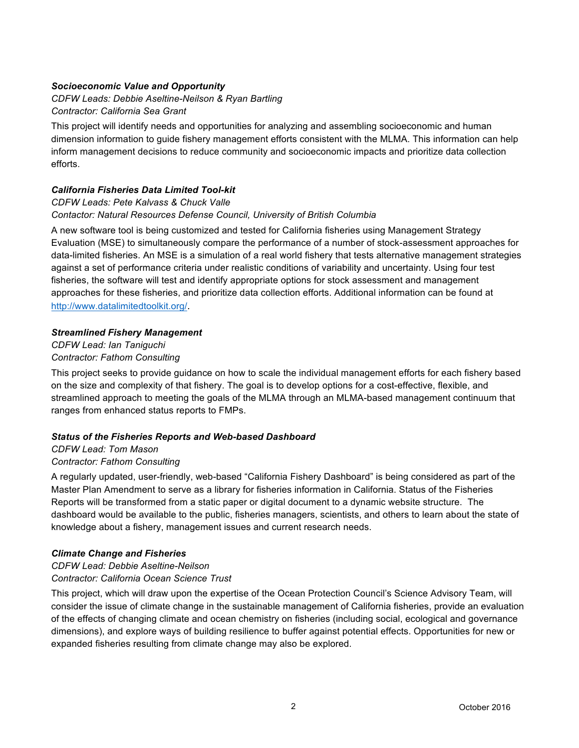### *Socioeconomic Value and Opportunity*

*CDFW Leads: Debbie Aseltine-Neilson & Ryan Bartling Contractor: California Sea Grant*

This project will identify needs and opportunities for analyzing and assembling socioeconomic and human dimension information to guide fishery management efforts consistent with the MLMA. This information can help inform management decisions to reduce community and socioeconomic impacts and prioritize data collection efforts.

## *California Fisheries Data Limited Tool-kit*

## *CDFW Leads: Pete Kalvass & Chuck Valle Contactor: Natural Resources Defense Council, University of British Columbia*

A new software tool is being customized and tested for California fisheries using Management Strategy Evaluation (MSE) to simultaneously compare the performance of a number of stock-assessment approaches for data-limited fisheries. An MSE is a simulation of a real world fishery that tests alternative management strategies against a set of performance criteria under realistic conditions of variability and uncertainty. Using four test fisheries, the software will test and identify appropriate options for stock assessment and management approaches for these fisheries, and prioritize data collection efforts. Additional information can be found at http://www.datalimitedtoolkit.org/.

### *Streamlined Fishery Management*

*CDFW Lead: Ian Taniguchi Contractor: Fathom Consulting* 

This project seeks to provide guidance on how to scale the individual management efforts for each fishery based on the size and complexity of that fishery. The goal is to develop options for a cost-effective, flexible, and streamlined approach to meeting the goals of the MLMA through an MLMA-based management continuum that ranges from enhanced status reports to FMPs.

### *Status of the Fisheries Reports and Web-based Dashboard*

## *CDFW Lead: Tom Mason Contractor: Fathom Consulting*

A regularly updated, user-friendly, web-based "California Fishery Dashboard" is being considered as part of the Master Plan Amendment to serve as a library for fisheries information in California. Status of the Fisheries Reports will be transformed from a static paper or digital document to a dynamic website structure. The dashboard would be available to the public, fisheries managers, scientists, and others to learn about the state of knowledge about a fishery, management issues and current research needs.

### *Climate Change and Fisheries*

#### *CDFW Lead: Debbie Aseltine-Neilson Contractor: California Ocean Science Trust*

This project, which will draw upon the expertise of the Ocean Protection Council's Science Advisory Team, will consider the issue of climate change in the sustainable management of California fisheries, provide an evaluation of the effects of changing climate and ocean chemistry on fisheries (including social, ecological and governance dimensions), and explore ways of building resilience to buffer against potential effects. Opportunities for new or expanded fisheries resulting from climate change may also be explored.